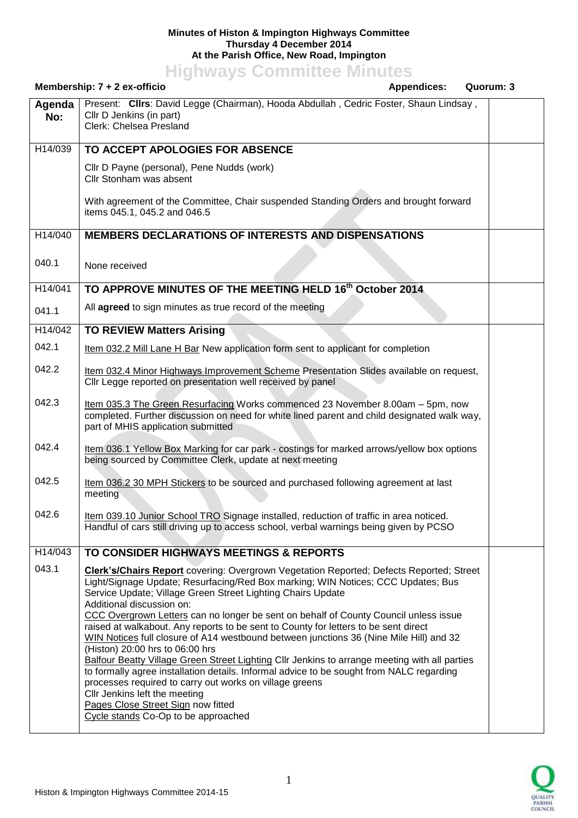## **Minutes of Histon & Impington Highways Committee Thursday 4 December 2014 At the Parish Office, New Road, Impington**

**Highways Committee Minutes**

| Membership: 7 + 2 ex-officio                                                                                                                                                                                                                                                                         |  | Quorum: 3                                                                                                                                                                                                                                                                                                                                                                                                                                                                                                                                                                                                                                                                                                                                                                                                                                                                                                                                                                                                                                                                                                                                                                                                                                                                                                                                                                                                                                                                                                                                                                                                                                                                                                                        |
|------------------------------------------------------------------------------------------------------------------------------------------------------------------------------------------------------------------------------------------------------------------------------------------------------|--|----------------------------------------------------------------------------------------------------------------------------------------------------------------------------------------------------------------------------------------------------------------------------------------------------------------------------------------------------------------------------------------------------------------------------------------------------------------------------------------------------------------------------------------------------------------------------------------------------------------------------------------------------------------------------------------------------------------------------------------------------------------------------------------------------------------------------------------------------------------------------------------------------------------------------------------------------------------------------------------------------------------------------------------------------------------------------------------------------------------------------------------------------------------------------------------------------------------------------------------------------------------------------------------------------------------------------------------------------------------------------------------------------------------------------------------------------------------------------------------------------------------------------------------------------------------------------------------------------------------------------------------------------------------------------------------------------------------------------------|
| Cllr D Jenkins (in part)<br>Clerk: Chelsea Presland                                                                                                                                                                                                                                                  |  |                                                                                                                                                                                                                                                                                                                                                                                                                                                                                                                                                                                                                                                                                                                                                                                                                                                                                                                                                                                                                                                                                                                                                                                                                                                                                                                                                                                                                                                                                                                                                                                                                                                                                                                                  |
| TO ACCEPT APOLOGIES FOR ABSENCE                                                                                                                                                                                                                                                                      |  |                                                                                                                                                                                                                                                                                                                                                                                                                                                                                                                                                                                                                                                                                                                                                                                                                                                                                                                                                                                                                                                                                                                                                                                                                                                                                                                                                                                                                                                                                                                                                                                                                                                                                                                                  |
| Cllr D Payne (personal), Pene Nudds (work)<br>Cllr Stonham was absent                                                                                                                                                                                                                                |  |                                                                                                                                                                                                                                                                                                                                                                                                                                                                                                                                                                                                                                                                                                                                                                                                                                                                                                                                                                                                                                                                                                                                                                                                                                                                                                                                                                                                                                                                                                                                                                                                                                                                                                                                  |
| items 045.1, 045.2 and 046.5                                                                                                                                                                                                                                                                         |  |                                                                                                                                                                                                                                                                                                                                                                                                                                                                                                                                                                                                                                                                                                                                                                                                                                                                                                                                                                                                                                                                                                                                                                                                                                                                                                                                                                                                                                                                                                                                                                                                                                                                                                                                  |
|                                                                                                                                                                                                                                                                                                      |  |                                                                                                                                                                                                                                                                                                                                                                                                                                                                                                                                                                                                                                                                                                                                                                                                                                                                                                                                                                                                                                                                                                                                                                                                                                                                                                                                                                                                                                                                                                                                                                                                                                                                                                                                  |
| None received                                                                                                                                                                                                                                                                                        |  |                                                                                                                                                                                                                                                                                                                                                                                                                                                                                                                                                                                                                                                                                                                                                                                                                                                                                                                                                                                                                                                                                                                                                                                                                                                                                                                                                                                                                                                                                                                                                                                                                                                                                                                                  |
|                                                                                                                                                                                                                                                                                                      |  |                                                                                                                                                                                                                                                                                                                                                                                                                                                                                                                                                                                                                                                                                                                                                                                                                                                                                                                                                                                                                                                                                                                                                                                                                                                                                                                                                                                                                                                                                                                                                                                                                                                                                                                                  |
| All agreed to sign minutes as true record of the meeting                                                                                                                                                                                                                                             |  |                                                                                                                                                                                                                                                                                                                                                                                                                                                                                                                                                                                                                                                                                                                                                                                                                                                                                                                                                                                                                                                                                                                                                                                                                                                                                                                                                                                                                                                                                                                                                                                                                                                                                                                                  |
| <b>TO REVIEW Matters Arising</b>                                                                                                                                                                                                                                                                     |  |                                                                                                                                                                                                                                                                                                                                                                                                                                                                                                                                                                                                                                                                                                                                                                                                                                                                                                                                                                                                                                                                                                                                                                                                                                                                                                                                                                                                                                                                                                                                                                                                                                                                                                                                  |
|                                                                                                                                                                                                                                                                                                      |  |                                                                                                                                                                                                                                                                                                                                                                                                                                                                                                                                                                                                                                                                                                                                                                                                                                                                                                                                                                                                                                                                                                                                                                                                                                                                                                                                                                                                                                                                                                                                                                                                                                                                                                                                  |
| Cllr Legge reported on presentation well received by panel                                                                                                                                                                                                                                           |  |                                                                                                                                                                                                                                                                                                                                                                                                                                                                                                                                                                                                                                                                                                                                                                                                                                                                                                                                                                                                                                                                                                                                                                                                                                                                                                                                                                                                                                                                                                                                                                                                                                                                                                                                  |
| part of MHIS application submitted                                                                                                                                                                                                                                                                   |  |                                                                                                                                                                                                                                                                                                                                                                                                                                                                                                                                                                                                                                                                                                                                                                                                                                                                                                                                                                                                                                                                                                                                                                                                                                                                                                                                                                                                                                                                                                                                                                                                                                                                                                                                  |
| being sourced by Committee Clerk, update at next meeting                                                                                                                                                                                                                                             |  |                                                                                                                                                                                                                                                                                                                                                                                                                                                                                                                                                                                                                                                                                                                                                                                                                                                                                                                                                                                                                                                                                                                                                                                                                                                                                                                                                                                                                                                                                                                                                                                                                                                                                                                                  |
| meeting                                                                                                                                                                                                                                                                                              |  |                                                                                                                                                                                                                                                                                                                                                                                                                                                                                                                                                                                                                                                                                                                                                                                                                                                                                                                                                                                                                                                                                                                                                                                                                                                                                                                                                                                                                                                                                                                                                                                                                                                                                                                                  |
|                                                                                                                                                                                                                                                                                                      |  |                                                                                                                                                                                                                                                                                                                                                                                                                                                                                                                                                                                                                                                                                                                                                                                                                                                                                                                                                                                                                                                                                                                                                                                                                                                                                                                                                                                                                                                                                                                                                                                                                                                                                                                                  |
| TO CONSIDER HIGHWAYS MEETINGS & REPORTS                                                                                                                                                                                                                                                              |  |                                                                                                                                                                                                                                                                                                                                                                                                                                                                                                                                                                                                                                                                                                                                                                                                                                                                                                                                                                                                                                                                                                                                                                                                                                                                                                                                                                                                                                                                                                                                                                                                                                                                                                                                  |
| Service Update; Village Green Street Lighting Chairs Update<br>Additional discussion on:<br>(Histon) 20:00 hrs to 06:00 hrs<br>processes required to carry out works on village greens<br>Cllr Jenkins left the meeting<br>Pages Close Street Sign now fitted<br>Cycle stands Co-Op to be approached |  |                                                                                                                                                                                                                                                                                                                                                                                                                                                                                                                                                                                                                                                                                                                                                                                                                                                                                                                                                                                                                                                                                                                                                                                                                                                                                                                                                                                                                                                                                                                                                                                                                                                                                                                                  |
|                                                                                                                                                                                                                                                                                                      |  | <b>Appendices:</b><br>Present: Clirs: David Legge (Chairman), Hooda Abdullah, Cedric Foster, Shaun Lindsay,<br>With agreement of the Committee, Chair suspended Standing Orders and brought forward<br><b>MEMBERS DECLARATIONS OF INTERESTS AND DISPENSATIONS</b><br>TO APPROVE MINUTES OF THE MEETING HELD 16th October 2014<br>Item 032.2 Mill Lane H Bar New application form sent to applicant for completion<br>Item 032.4 Minor Highways Improvement Scheme Presentation Slides available on request,<br>Item 035.3 The Green Resurfacing Works commenced 23 November 8.00am - 5pm, now<br>completed. Further discussion on need for white lined parent and child designated walk way,<br>Item 036.1 Yellow Box Marking for car park - costings for marked arrows/yellow box options<br>Item 036.2 30 MPH Stickers to be sourced and purchased following agreement at last<br>Item 039.10 Junior School TRO Signage installed, reduction of traffic in area noticed.<br>Handful of cars still driving up to access school, verbal warnings being given by PCSO<br><b>Clerk's/Chairs Report</b> covering: Overgrown Vegetation Reported; Defects Reported; Street<br>Light/Signage Update; Resurfacing/Red Box marking; WIN Notices; CCC Updates; Bus<br>CCC Overgrown Letters can no longer be sent on behalf of County Council unless issue<br>raised at walkabout. Any reports to be sent to County for letters to be sent direct<br>WIN Notices full closure of A14 westbound between junctions 36 (Nine Mile Hill) and 32<br>Balfour Beatty Village Green Street Lighting Cllr Jenkins to arrange meeting with all parties<br>to formally agree installation details. Informal advice to be sought from NALC regarding |

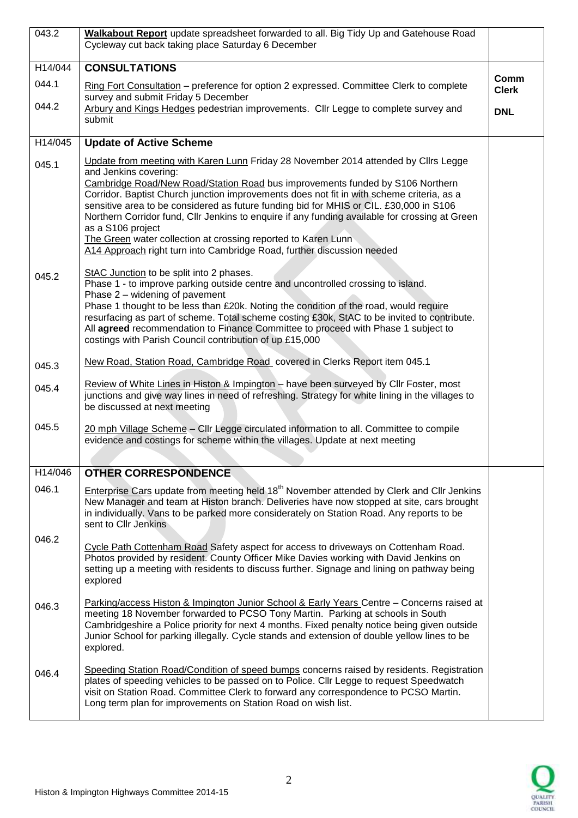| 043.2   | Walkabout Report update spreadsheet forwarded to all. Big Tidy Up and Gatehouse Road<br>Cycleway cut back taking place Saturday 6 December                                                                                                                                                                                                                                                                                                                                                                                                                      |              |
|---------|-----------------------------------------------------------------------------------------------------------------------------------------------------------------------------------------------------------------------------------------------------------------------------------------------------------------------------------------------------------------------------------------------------------------------------------------------------------------------------------------------------------------------------------------------------------------|--------------|
|         |                                                                                                                                                                                                                                                                                                                                                                                                                                                                                                                                                                 |              |
| H14/044 | <b>CONSULTATIONS</b>                                                                                                                                                                                                                                                                                                                                                                                                                                                                                                                                            | Comm         |
| 044.1   | Ring Fort Consultation - preference for option 2 expressed. Committee Clerk to complete<br>survey and submit Friday 5 December                                                                                                                                                                                                                                                                                                                                                                                                                                  | <b>Clerk</b> |
| 044.2   | Arbury and Kings Hedges pedestrian improvements. Cllr Legge to complete survey and<br>submit                                                                                                                                                                                                                                                                                                                                                                                                                                                                    | <b>DNL</b>   |
| H14/045 | <b>Update of Active Scheme</b>                                                                                                                                                                                                                                                                                                                                                                                                                                                                                                                                  |              |
| 045.1   | Update from meeting with Karen Lunn Friday 28 November 2014 attended by Clirs Legge                                                                                                                                                                                                                                                                                                                                                                                                                                                                             |              |
|         | and Jenkins covering:<br>Cambridge Road/New Road/Station Road bus improvements funded by S106 Northern<br>Corridor. Baptist Church junction improvements does not fit in with scheme criteria, as a<br>sensitive area to be considered as future funding bid for MHIS or CIL. £30,000 in S106<br>Northern Corridor fund, Cllr Jenkins to enquire if any funding available for crossing at Green<br>as a S106 project<br>The Green water collection at crossing reported to Karen Lunn<br>A14 Approach right turn into Cambridge Road, further discussion needed |              |
|         | StAC Junction to be split into 2 phases.                                                                                                                                                                                                                                                                                                                                                                                                                                                                                                                        |              |
| 045.2   | Phase 1 - to improve parking outside centre and uncontrolled crossing to island.                                                                                                                                                                                                                                                                                                                                                                                                                                                                                |              |
|         | Phase 2 – widening of pavement<br>Phase 1 thought to be less than £20k. Noting the condition of the road, would require<br>resurfacing as part of scheme. Total scheme costing £30k, StAC to be invited to contribute.<br>All agreed recommendation to Finance Committee to proceed with Phase 1 subject to<br>costings with Parish Council contribution of up £15,000                                                                                                                                                                                          |              |
| 045.3   | New Road, Station Road, Cambridge Road covered in Clerks Report item 045.1                                                                                                                                                                                                                                                                                                                                                                                                                                                                                      |              |
| 045.4   | Review of White Lines in Histon & Impington - have been surveyed by Cllr Foster, most<br>junctions and give way lines in need of refreshing. Strategy for white lining in the villages to<br>be discussed at next meeting                                                                                                                                                                                                                                                                                                                                       |              |
| 045.5   | 20 mph Village Scheme - Cllr Legge circulated information to all. Committee to compile<br>evidence and costings for scheme within the villages. Update at next meeting                                                                                                                                                                                                                                                                                                                                                                                          |              |
| H14/046 | <b>OTHER CORRESPONDENCE</b>                                                                                                                                                                                                                                                                                                                                                                                                                                                                                                                                     |              |
| 046.1   | Enterprise Cars update from meeting held 18 <sup>th</sup> November attended by Clerk and Cllr Jenkins<br>New Manager and team at Histon branch. Deliveries have now stopped at site, cars brought<br>in individually. Vans to be parked more considerately on Station Road. Any reports to be<br>sent to CIIr Jenkins                                                                                                                                                                                                                                           |              |
| 046.2   | Cycle Path Cottenham Road Safety aspect for access to driveways on Cottenham Road.<br>Photos provided by resident. County Officer Mike Davies working with David Jenkins on<br>setting up a meeting with residents to discuss further. Signage and lining on pathway being<br>explored                                                                                                                                                                                                                                                                          |              |
| 046.3   | Parking/access Histon & Impington Junior School & Early Years Centre - Concerns raised at<br>meeting 18 November forwarded to PCSO Tony Martin. Parking at schools in South<br>Cambridgeshire a Police priority for next 4 months. Fixed penalty notice being given outside<br>Junior School for parking illegally. Cycle stands and extension of double yellow lines to be<br>explored.                                                                                                                                                                        |              |
| 046.4   | Speeding Station Road/Condition of speed bumps concerns raised by residents. Registration<br>plates of speeding vehicles to be passed on to Police. Cllr Legge to request Speedwatch<br>visit on Station Road. Committee Clerk to forward any correspondence to PCSO Martin.<br>Long term plan for improvements on Station Road on wish list.                                                                                                                                                                                                                   |              |